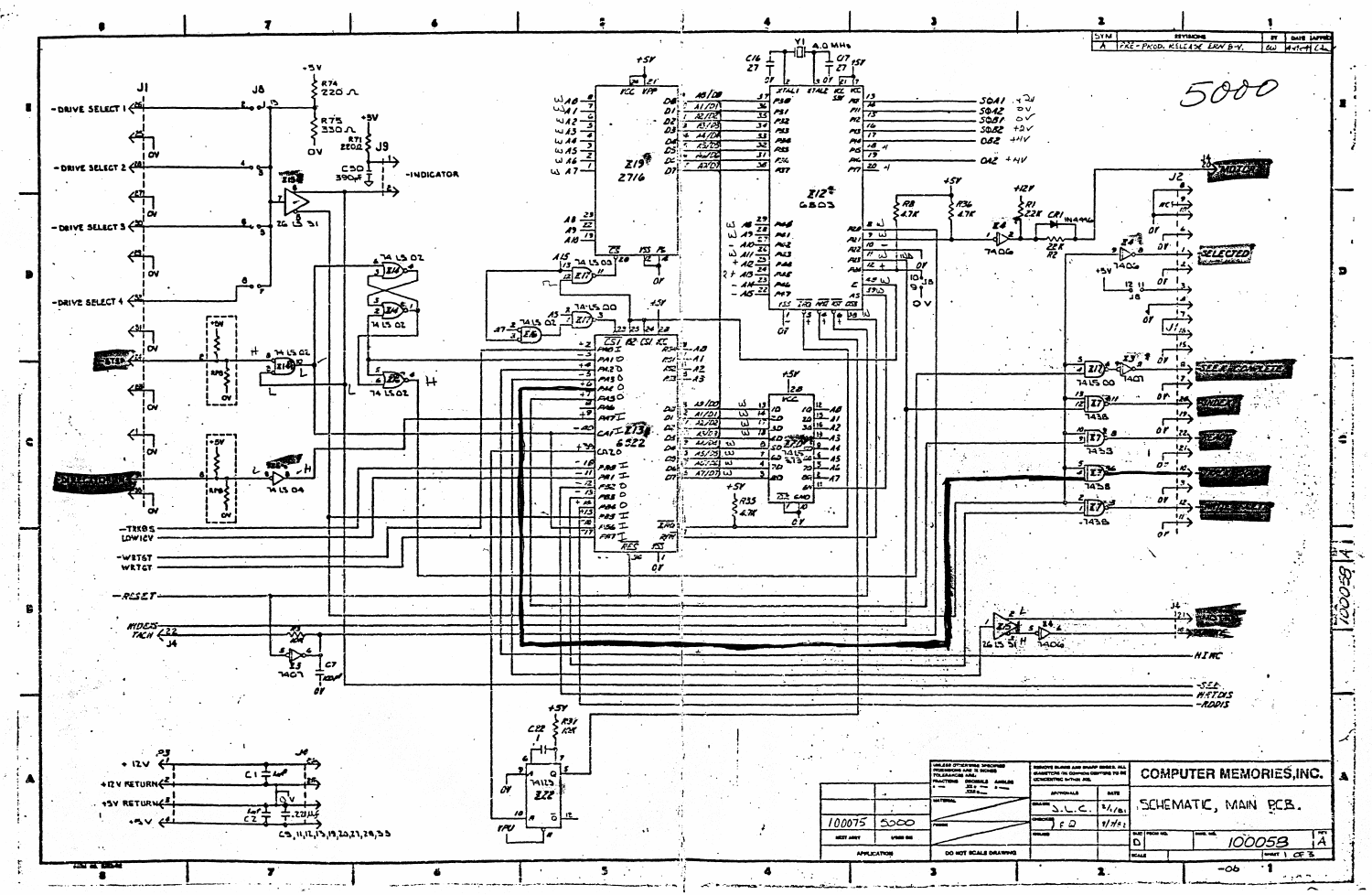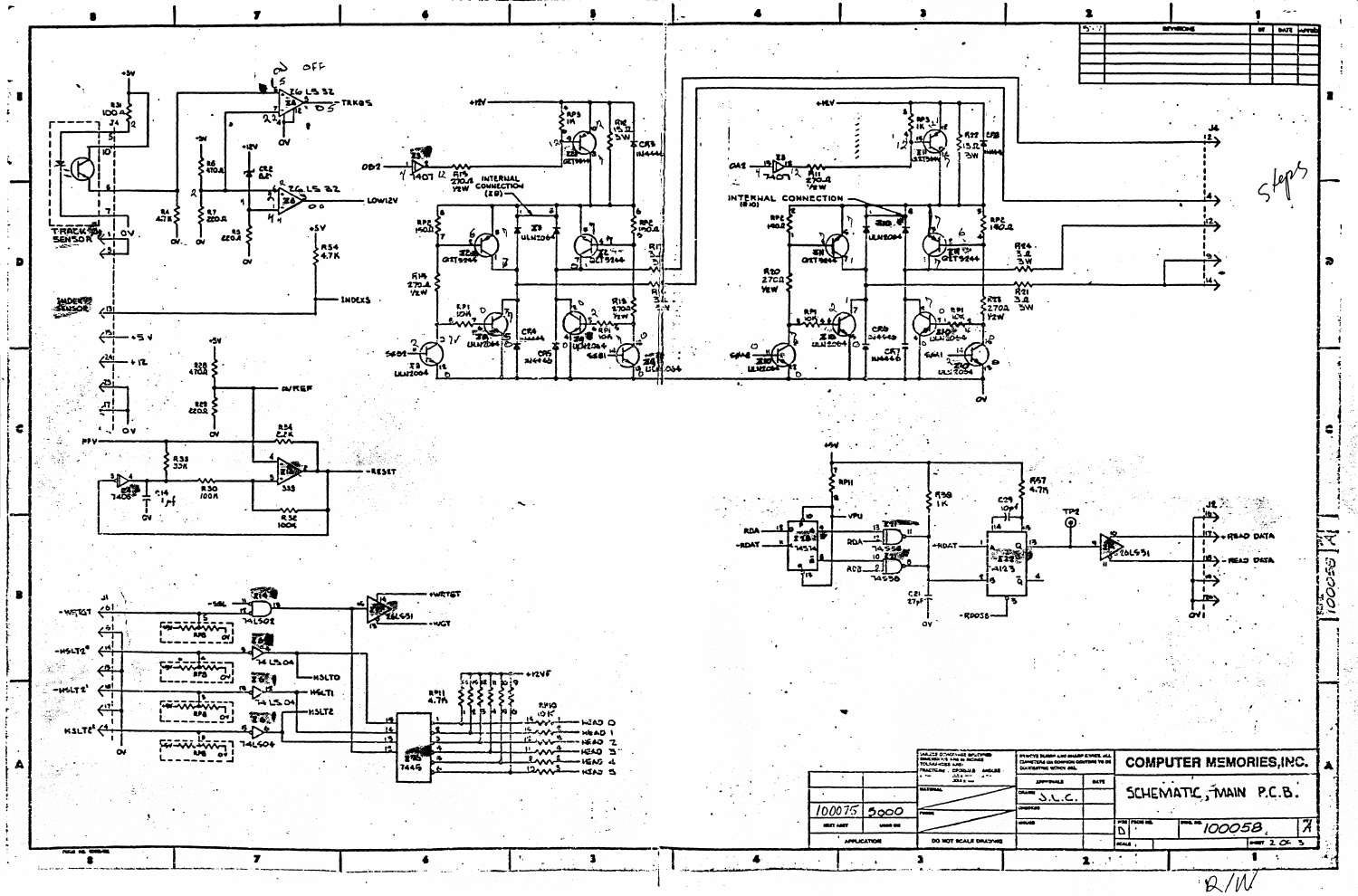